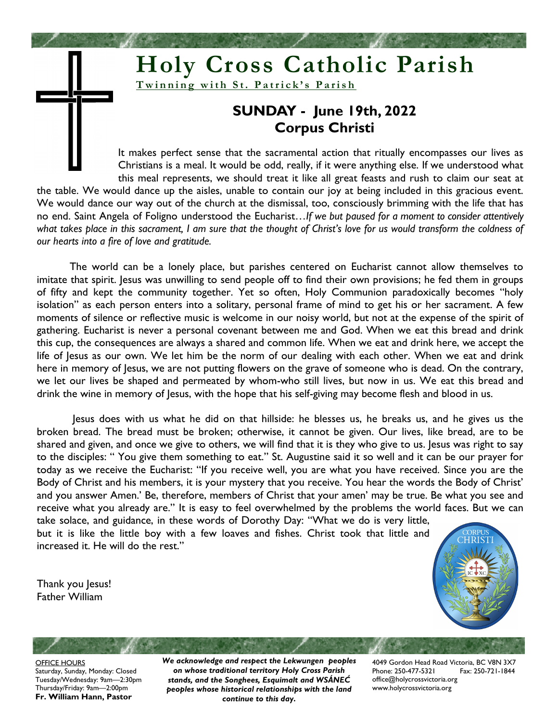# **Holy Cross Catholic Parish Twinning with St. Patrick's Parish**

## **SUNDAY - June 19th, 2022 Corpus Christi**

It makes perfect sense that the sacramental action that ritually encompasses our lives as Christians is a meal. It would be odd, really, if it were anything else. If we understood what this meal represents, we should treat it like all great feasts and rush to claim our seat at the table. We would dance up the aisles, unable to contain our joy at being included in this gracious event. We would dance our way out of the church at the dismissal, too, consciously brimming with the life that has no end. Saint Angela of Foligno understood the Eucharist…*If we but paused for a moment to consider attentively what takes place in this sacrament, I am sure that the thought of Christ's love for us would transform the coldness of our hearts into a fire of love and gratitude.*

The world can be a lonely place, but parishes centered on Eucharist cannot allow themselves to imitate that spirit. Jesus was unwilling to send people off to find their own provisions; he fed them in groups of fifty and kept the community together. Yet so often, Holy Communion paradoxically becomes "holy isolation" as each person enters into a solitary, personal frame of mind to get his or her sacrament. A few moments of silence or reflective music is welcome in our noisy world, but not at the expense of the spirit of gathering. Eucharist is never a personal covenant between me and God. When we eat this bread and drink this cup, the consequences are always a shared and common life. When we eat and drink here, we accept the life of Jesus as our own. We let him be the norm of our dealing with each other. When we eat and drink here in memory of Jesus, we are not putting flowers on the grave of someone who is dead. On the contrary, we let our lives be shaped and permeated by whom-who still lives, but now in us. We eat this bread and drink the wine in memory of Jesus, with the hope that his self-giving may become flesh and blood in us.

Jesus does with us what he did on that hillside: he blesses us, he breaks us, and he gives us the broken bread. The bread must be broken; otherwise, it cannot be given. Our lives, like bread, are to be shared and given, and once we give to others, we will find that it is they who give to us. Jesus was right to say to the disciples: " You give them something to eat." St. Augustine said it so well and it can be our prayer for today as we receive the Eucharist: "If you receive well, you are what you have received. Since you are the Body of Christ and his members, it is your mystery that you receive. You hear the words the Body of Christ' and you answer Amen.' Be, therefore, members of Christ that your amen' may be true. Be what you see and receive what you already are." It is easy to feel overwhelmed by the problems the world faces. But we can take solace, and guidance, in these words of Dorothy Day: "What we do is very little, but it is like the little boy with a few loaves and fishes. Christ took that little and

increased it. He will do the rest."



Thank you lesus! Father William

**OFFICE HOURS** Saturday, Sunday, Monday: Closed Tuesday/Wednesday: 9am—2:30pm Thursday/Friday: 9am—2:00pm **Fr. William Hann, Pastor**

*We acknowledge and respect the Lekwungen peoples on whose traditional territory Holy Cross Parish stands, and the Songhees, Esquimalt and WSÁNEĆ peoples whose historical relationships with the land continue to this day.*

4049 Gordon Head Road Victoria, BC V8N 3X7 Phone: 250-477-5321 Fax: 250-721-1844 office@holycrossvictoria.org www.holycrossvictoria.org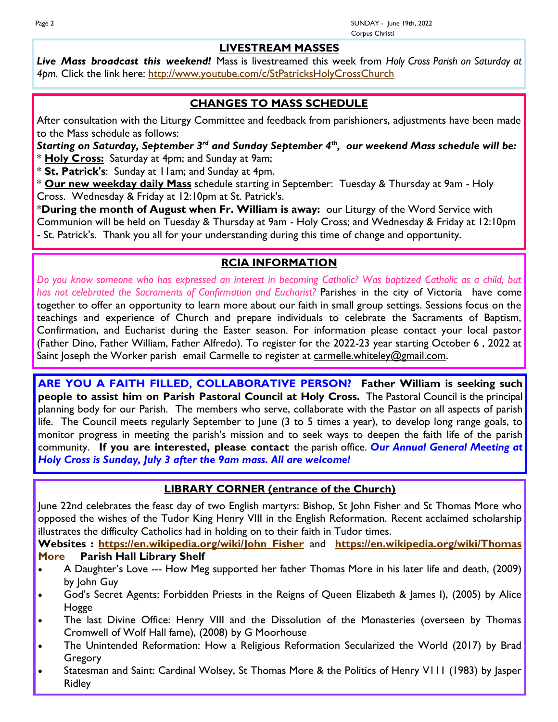#### **LIVESTREAM MASSES**

*Live Mass broadcast this weekend!* Mass is livestreamed this week from *Holy Cross Parish on Saturday at 4pm.* Click the link here: <http://www.youtube.com/c/StPatricksHolyCrossChurch>

## **CHANGES TO MASS SCHEDULE**

After consultation with the Liturgy Committee and feedback from parishioners, adjustments have been made to the Mass schedule as follows:

*Starting on Saturday, September 3rd and Sunday September 4th , our weekend Mass schedule will be:*  \* **Holy Cross:** Saturday at 4pm; and Sunday at 9am;

\* **St. Patrick's**: Sunday at 11am; and Sunday at 4pm.

\* **Our new weekday daily Mass** schedule starting in September: Tuesday & Thursday at 9am - Holy Cross. Wednesday & Friday at 12:10pm at St. Patrick's.

\***During the month of August when Fr. William is away:** our Liturgy of the Word Service with Communion will be held on Tuesday & Thursday at 9am - Holy Cross; and Wednesday & Friday at 12:10pm - St. Patrick's. Thank you all for your understanding during this time of change and opportunity.

### **RCIA INFORMATION**

*Do you know someone who has expressed an interest in becoming Catholic? Was baptized Catholic as a child, but has not celebrated the Sacraments of Confirmation and Eucharist?* Parishes in the city of Victoria have come together to offer an opportunity to learn more about our faith in small group settings. Sessions focus on the teachings and experience of Church and prepare individuals to celebrate the Sacraments of Baptism, Confirmation, and Eucharist during the Easter season. For information please contact your local pastor (Father Dino, Father William, Father Alfredo). To register for the 2022-23 year starting October 6 , 2022 at Saint Joseph the Worker parish email Carmelle to register at [carmelle.whiteley@gmail.com.](mailto:carmelle.whiteley@gmail.com)

**ARE YOU A FAITH FILLED, COLLABORATIVE PERSON? Father William is seeking such people to assist him on Parish Pastoral Council at Holy Cross.** The Pastoral Council is the principal planning body for our Parish. The members who serve, collaborate with the Pastor on all aspects of parish life. The Council meets regularly September to June (3 to 5 times a year), to develop long range goals, to monitor progress in meeting the parish's mission and to seek ways to deepen the faith life of the parish community. **If you are interested, please contact** the parish office. *Our Annual General Meeting at Holy Cross is Sunday, July 3 after the 9am mass. All are welcome!* 

#### **LIBRARY CORNER (entrance of the Church)**

June 22nd celebrates the feast day of two English martyrs: Bishop, St John Fisher and St Thomas More who opposed the wishes of the Tudor King Henry VIII in the English Reformation. Recent acclaimed scholarship illustrates the difficulty Catholics had in holding on to their faith in Tudor times.

**Websites : [https://en.wikipedia.org/wiki/John\\_Fisher](https://en.wikipedia.org/wiki/John_Fisher)** and **[https://en.wikipedia.org/wiki/Thomas](https://en.wikipedia.org/wiki/Thomas%20More)  [More](https://en.wikipedia.org/wiki/Thomas%20More) Parish Hall Library Shelf**

- A Daughter's Love --- How Meg supported her father Thomas More in his later life and death, (2009) by John Guy
- God's Secret Agents: Forbidden Priests in the Reigns of Queen Elizabeth & James I), (2005) by Alice Hogge
- The last Divine Office: Henry VIII and the Dissolution of the Monasteries (overseen by Thomas Cromwell of Wolf Hall fame), (2008) by G Moorhouse
- The Unintended Reformation: How a Religious Reformation Secularized the World (2017) by Brad Gregory
- Statesman and Saint: Cardinal Wolsey, St Thomas More & the Politics of Henry V111 (1983) by Jasper Ridley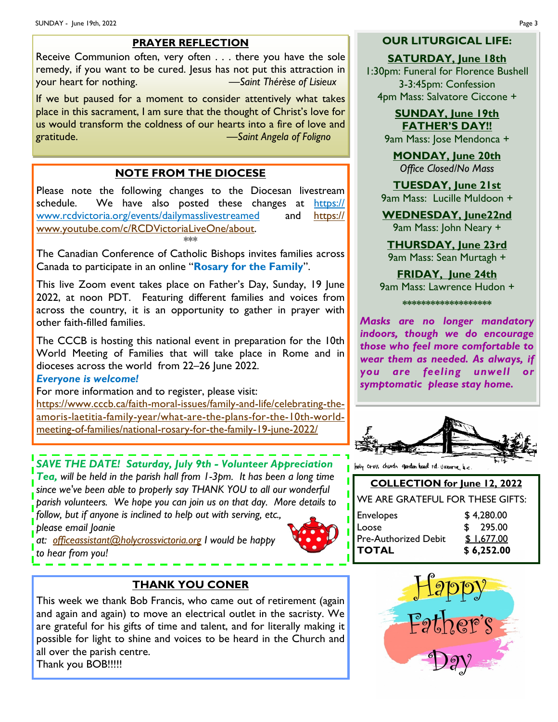#### **PRAYER REFLECTION**

Receive Communion often, very often . . . there you have the sole remedy, if you want to be cured. Jesus has not put this attraction in your heart for nothing. *—Saint Thérèse of Lisieux*

If we but paused for a moment to consider attentively what takes place in this sacrament, I am sure that the thought of Christ's love for us would transform the coldness of our hearts into a fire of love and gratitude. *—Saint Angela of Foligno*

#### **NOTE FROM THE DIOCESE**

Please note the following changes to the Diocesan livestream schedule. We have also posted these changes at [https://](https://www.rcdvictoria.org/events/dailymasslivestreamed) [www.rcdvictoria.org/events/dailymasslivestreamed](https://www.rcdvictoria.org/events/dailymasslivestreamed) and [https://](https://www.youtube.com/c/RCDVictoriaLiveOne/about) [www.youtube.com/c/RCDVictoriaLiveOne/about.](https://www.youtube.com/c/RCDVictoriaLiveOne/about)

The Canadian Conference of Catholic Bishops invites families across Canada to participate in an online "**Rosary for the Family**".

\*\*\*

This live Zoom event takes place on Father's Day, Sunday, 19 June 2022, at noon PDT. Featuring different families and voices from across the country, it is an opportunity to gather in prayer with other faith-filled families.

The CCCB is hosting this national event in preparation for the 10th World Meeting of Families that will take place in Rome and in dioceses across the world from 22–26 June 2022.

#### *Everyone is welcome!*

For more information and to register, please visit:

[https://www.cccb.ca/faith-moral-issues/family-and-life/celebrating-the](https://www.cccb.ca/faith-moral-issues/family-and-life/celebrating-the-amoris-laetitia-family-year/what-are-the-plans-for-the-10th-world-meeting-of-families/national-rosary-for-the-family-19-june-2022/)[amoris-laetitia-family-year/what-are-the-plans-for-the-10th-world](https://www.cccb.ca/faith-moral-issues/family-and-life/celebrating-the-amoris-laetitia-family-year/what-are-the-plans-for-the-10th-world-meeting-of-families/national-rosary-for-the-family-19-june-2022/)[meeting-of-families/national-rosary-for-the-family-19-june-2022/](https://www.cccb.ca/faith-moral-issues/family-and-life/celebrating-the-amoris-laetitia-family-year/what-are-the-plans-for-the-10th-world-meeting-of-families/national-rosary-for-the-family-19-june-2022/)

## *SAVE THE DATE! Saturday, July 9th - Volunteer Appreciation*

*Tea, will be held in the parish hall from 1-3pm. It has been a long time since we've been able to properly say THANK YOU to all our wonderful parish volunteers. We hope you can join us on that day. More details to follow, but if anyone is inclined to help out with serving, etc.,* 

*please email Joanie at: [officeassistant@holycrossvictoria.org](mailto:officeassistant@holycrossvictoria.org) I would be happy to hear from you!*



#### **THANK YOU CONER**

This week we thank Bob Francis, who came out of retirement (again and again and again) to move an electrical outlet in the sacristy. We are grateful for his gifts of time and talent, and for literally making it possible for light to shine and voices to be heard in the Church and all over the parish centre. Thank you BOB!!!!!

#### **OUR LITURGICAL LIFE:**

**SATURDAY, June 18th** 1:30pm: Funeral for Florence Bushell 3-3:45pm: Confession

4pm Mass: Salvatore Ciccone +

**SUNDAY, June 19th FATHER'S DAY!!** 9am Mass: Jose Mendonca +

**MONDAY, June 20th** *Office Closed/No Mass*

**TUESDAY, June 21st** 9am Mass: Lucille Muldoon +

**WEDNESDAY, June22nd** 9am Mass: John Neary +

**THURSDAY, June 23rd** 9am Mass: Sean Murtagh +

**FRIDAY, June 24th** 9am Mass: Lawrence Hudon +

**\*\*\*\*\*\*\*\*\*\*\*\*\*\*\*\*\*\*\***

*Masks are no longer mandatory indoors, though we do encourage those who feel more comfortable to wear them as needed. As always, if you are feeling unwell or symptomatic please stay home.* 



holy cross charch gorden head id. Untoria, b.c.

#### **COLLECTION for June 12, 2022** WE ARE GRATEFUL FOR THESE GIFTS:

| <b>Envelopes</b>            | \$4,280.00 |
|-----------------------------|------------|
| Loose                       | \$295.00   |
| <b>Pre-Authorized Debit</b> | \$1,677.00 |
| <b>TOTAL</b>                | \$6,252.00 |